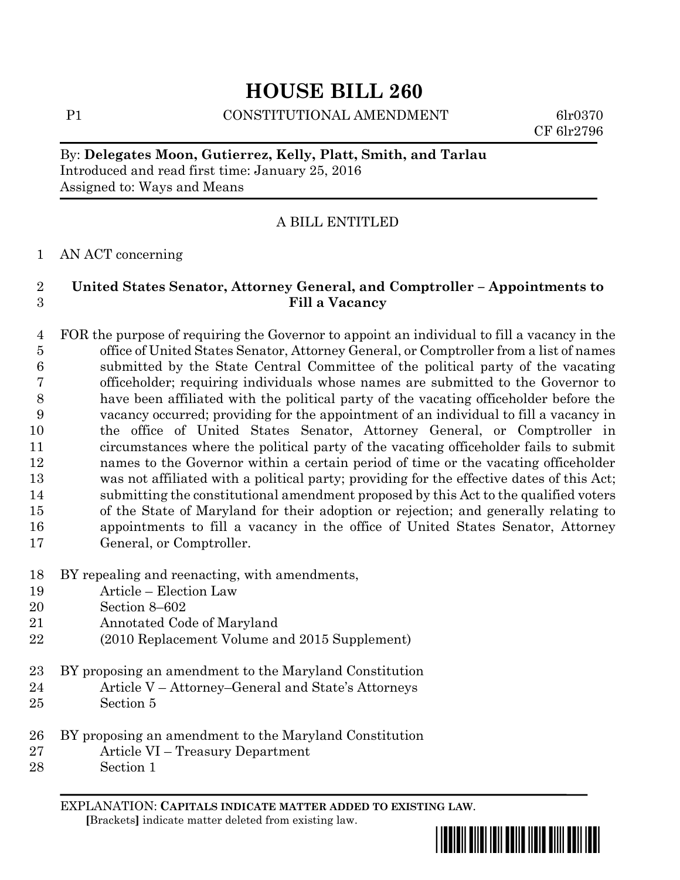# **HOUSE BILL 260**

P1 CONSTITUTIONAL AMENDMENT 6lr0370

CF 6lr2796

## By: **Delegates Moon, Gutierrez, Kelly, Platt, Smith, and Tarlau** Introduced and read first time: January 25, 2016 Assigned to: Ways and Means

## A BILL ENTITLED

#### AN ACT concerning

### **United States Senator, Attorney General, and Comptroller – Appointments to Fill a Vacancy**

- FOR the purpose of requiring the Governor to appoint an individual to fill a vacancy in the office of United States Senator, Attorney General, or Comptroller from a list of names submitted by the State Central Committee of the political party of the vacating officeholder; requiring individuals whose names are submitted to the Governor to have been affiliated with the political party of the vacating officeholder before the vacancy occurred; providing for the appointment of an individual to fill a vacancy in the office of United States Senator, Attorney General, or Comptroller in circumstances where the political party of the vacating officeholder fails to submit names to the Governor within a certain period of time or the vacating officeholder was not affiliated with a political party; providing for the effective dates of this Act; submitting the constitutional amendment proposed by this Act to the qualified voters of the State of Maryland for their adoption or rejection; and generally relating to appointments to fill a vacancy in the office of United States Senator, Attorney General, or Comptroller.
- BY repealing and reenacting, with amendments,
- Article Election Law
- Section 8–602
- Annotated Code of Maryland
- (2010 Replacement Volume and 2015 Supplement)
- BY proposing an amendment to the Maryland Constitution
- Article V Attorney–General and State's Attorneys
- Section 5
- BY proposing an amendment to the Maryland Constitution
- Article VI Treasury Department
- Section 1

EXPLANATION: **CAPITALS INDICATE MATTER ADDED TO EXISTING LAW**.  **[**Brackets**]** indicate matter deleted from existing law.

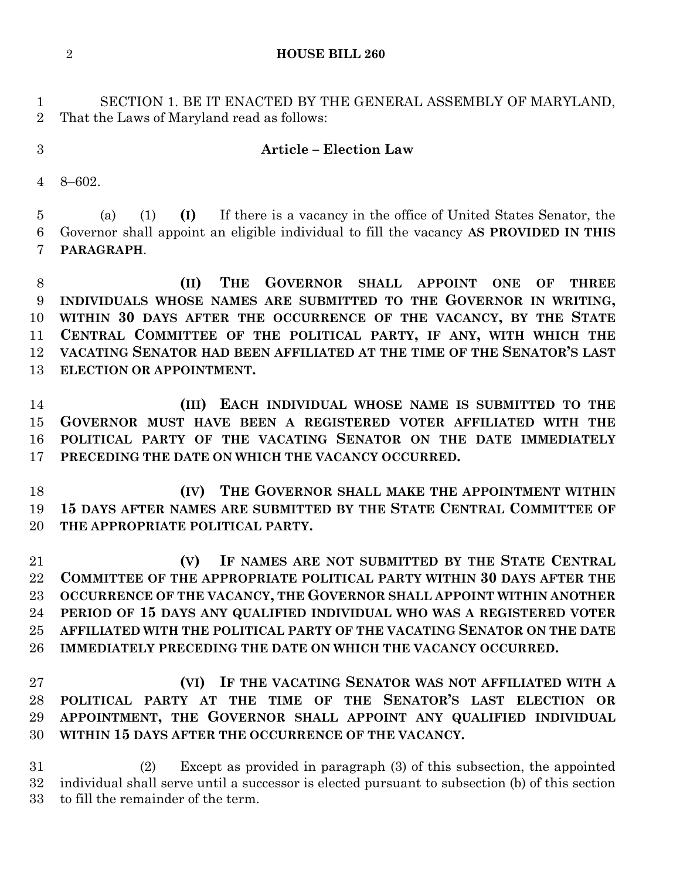**HOUSE BILL 260**

 SECTION 1. BE IT ENACTED BY THE GENERAL ASSEMBLY OF MARYLAND, That the Laws of Maryland read as follows:

#### **Article – Election Law**

8–602.

 (a) (1) **(I)** If there is a vacancy in the office of United States Senator, the Governor shall appoint an eligible individual to fill the vacancy **AS PROVIDED IN THIS PARAGRAPH**.

 **(II) THE GOVERNOR SHALL APPOINT ONE OF THREE INDIVIDUALS WHOSE NAMES ARE SUBMITTED TO THE GOVERNOR IN WRITING, WITHIN 30 DAYS AFTER THE OCCURRENCE OF THE VACANCY, BY THE STATE CENTRAL COMMITTEE OF THE POLITICAL PARTY, IF ANY, WITH WHICH THE VACATING SENATOR HAD BEEN AFFILIATED AT THE TIME OF THE SENATOR'S LAST ELECTION OR APPOINTMENT.**

 **(III) EACH INDIVIDUAL WHOSE NAME IS SUBMITTED TO THE GOVERNOR MUST HAVE BEEN A REGISTERED VOTER AFFILIATED WITH THE POLITICAL PARTY OF THE VACATING SENATOR ON THE DATE IMMEDIATELY PRECEDING THE DATE ON WHICH THE VACANCY OCCURRED.**

 **(IV) THE GOVERNOR SHALL MAKE THE APPOINTMENT WITHIN 15 DAYS AFTER NAMES ARE SUBMITTED BY THE STATE CENTRAL COMMITTEE OF THE APPROPRIATE POLITICAL PARTY.**

 **(V) IF NAMES ARE NOT SUBMITTED BY THE STATE CENTRAL COMMITTEE OF THE APPROPRIATE POLITICAL PARTY WITHIN 30 DAYS AFTER THE OCCURRENCE OF THE VACANCY, THE GOVERNOR SHALL APPOINT WITHIN ANOTHER PERIOD OF 15 DAYS ANY QUALIFIED INDIVIDUAL WHO WAS A REGISTERED VOTER AFFILIATED WITH THE POLITICAL PARTY OF THE VACATING SENATOR ON THE DATE IMMEDIATELY PRECEDING THE DATE ON WHICH THE VACANCY OCCURRED.** 

 **(VI) IF THE VACATING SENATOR WAS NOT AFFILIATED WITH A POLITICAL PARTY AT THE TIME OF THE SENATOR'S LAST ELECTION OR APPOINTMENT, THE GOVERNOR SHALL APPOINT ANY QUALIFIED INDIVIDUAL WITHIN 15 DAYS AFTER THE OCCURRENCE OF THE VACANCY.**

 (2) Except as provided in paragraph (3) of this subsection, the appointed individual shall serve until a successor is elected pursuant to subsection (b) of this section to fill the remainder of the term.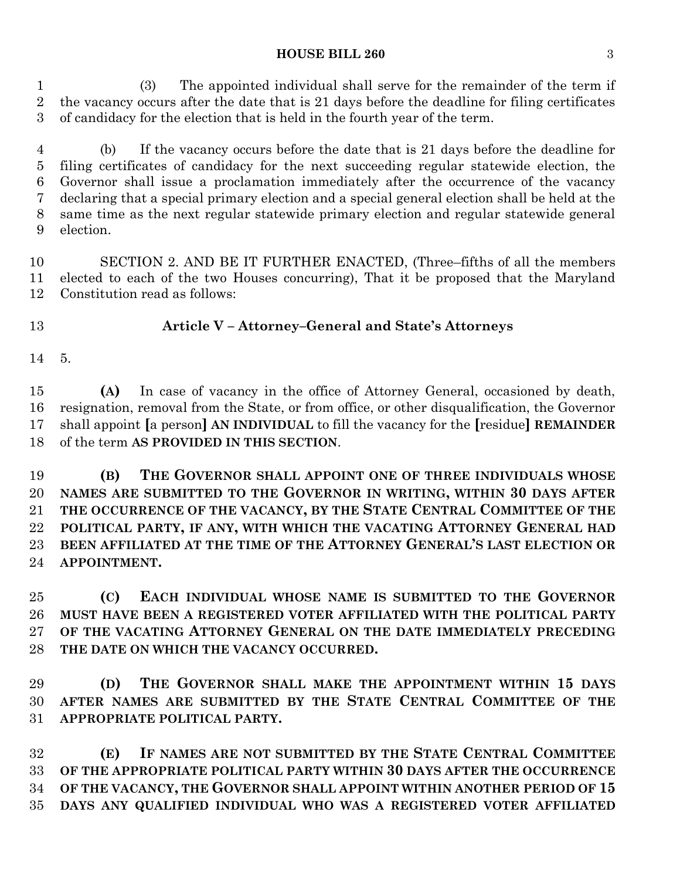#### **HOUSE BILL 260** 3

 (3) The appointed individual shall serve for the remainder of the term if the vacancy occurs after the date that is 21 days before the deadline for filing certificates of candidacy for the election that is held in the fourth year of the term.

 (b) If the vacancy occurs before the date that is 21 days before the deadline for filing certificates of candidacy for the next succeeding regular statewide election, the Governor shall issue a proclamation immediately after the occurrence of the vacancy declaring that a special primary election and a special general election shall be held at the same time as the next regular statewide primary election and regular statewide general election.

 SECTION 2. AND BE IT FURTHER ENACTED, (Three–fifths of all the members elected to each of the two Houses concurring), That it be proposed that the Maryland Constitution read as follows:

## **Article V – Attorney–General and State's Attorneys**

5.

 **(A)** In case of vacancy in the office of Attorney General, occasioned by death, resignation, removal from the State, or from office, or other disqualification, the Governor shall appoint **[**a person**] AN INDIVIDUAL** to fill the vacancy for the **[**residue**] REMAINDER** of the term **AS PROVIDED IN THIS SECTION**.

 **(B) THE GOVERNOR SHALL APPOINT ONE OF THREE INDIVIDUALS WHOSE NAMES ARE SUBMITTED TO THE GOVERNOR IN WRITING, WITHIN 30 DAYS AFTER THE OCCURRENCE OF THE VACANCY, BY THE STATE CENTRAL COMMITTEE OF THE POLITICAL PARTY, IF ANY, WITH WHICH THE VACATING ATTORNEY GENERAL HAD BEEN AFFILIATED AT THE TIME OF THE ATTORNEY GENERAL'S LAST ELECTION OR APPOINTMENT.**

 **(C) EACH INDIVIDUAL WHOSE NAME IS SUBMITTED TO THE GOVERNOR MUST HAVE BEEN A REGISTERED VOTER AFFILIATED WITH THE POLITICAL PARTY OF THE VACATING ATTORNEY GENERAL ON THE DATE IMMEDIATELY PRECEDING THE DATE ON WHICH THE VACANCY OCCURRED.**

 **(D) THE GOVERNOR SHALL MAKE THE APPOINTMENT WITHIN 15 DAYS AFTER NAMES ARE SUBMITTED BY THE STATE CENTRAL COMMITTEE OF THE APPROPRIATE POLITICAL PARTY.** 

 **(E) IF NAMES ARE NOT SUBMITTED BY THE STATE CENTRAL COMMITTEE OF THE APPROPRIATE POLITICAL PARTY WITHIN 30 DAYS AFTER THE OCCURRENCE OF THE VACANCY, THE GOVERNOR SHALL APPOINT WITHIN ANOTHER PERIOD OF 15 DAYS ANY QUALIFIED INDIVIDUAL WHO WAS A REGISTERED VOTER AFFILIATED**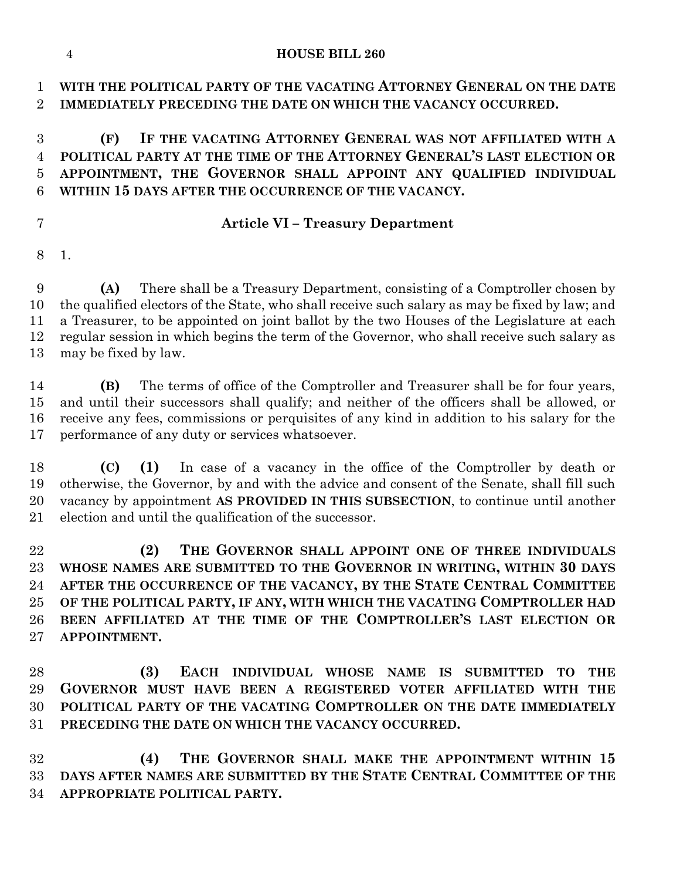#### **HOUSE BILL 260**

 **WITH THE POLITICAL PARTY OF THE VACATING ATTORNEY GENERAL ON THE DATE IMMEDIATELY PRECEDING THE DATE ON WHICH THE VACANCY OCCURRED.**

## **(F) IF THE VACATING ATTORNEY GENERAL WAS NOT AFFILIATED WITH A POLITICAL PARTY AT THE TIME OF THE ATTORNEY GENERAL'S LAST ELECTION OR APPOINTMENT, THE GOVERNOR SHALL APPOINT ANY QUALIFIED INDIVIDUAL WITHIN 15 DAYS AFTER THE OCCURRENCE OF THE VACANCY.**

## **Article VI – Treasury Department**

1.

 **(A)** There shall be a Treasury Department, consisting of a Comptroller chosen by the qualified electors of the State, who shall receive such salary as may be fixed by law; and a Treasurer, to be appointed on joint ballot by the two Houses of the Legislature at each regular session in which begins the term of the Governor, who shall receive such salary as may be fixed by law.

 **(B)** The terms of office of the Comptroller and Treasurer shall be for four years, and until their successors shall qualify; and neither of the officers shall be allowed, or receive any fees, commissions or perquisites of any kind in addition to his salary for the performance of any duty or services whatsoever.

 **(C) (1)** In case of a vacancy in the office of the Comptroller by death or otherwise, the Governor, by and with the advice and consent of the Senate, shall fill such vacancy by appointment **AS PROVIDED IN THIS SUBSECTION**, to continue until another election and until the qualification of the successor.

 **(2) THE GOVERNOR SHALL APPOINT ONE OF THREE INDIVIDUALS WHOSE NAMES ARE SUBMITTED TO THE GOVERNOR IN WRITING, WITHIN 30 DAYS AFTER THE OCCURRENCE OF THE VACANCY, BY THE STATE CENTRAL COMMITTEE OF THE POLITICAL PARTY, IF ANY, WITH WHICH THE VACATING COMPTROLLER HAD BEEN AFFILIATED AT THE TIME OF THE COMPTROLLER'S LAST ELECTION OR APPOINTMENT.**

 **(3) EACH INDIVIDUAL WHOSE NAME IS SUBMITTED TO THE GOVERNOR MUST HAVE BEEN A REGISTERED VOTER AFFILIATED WITH THE POLITICAL PARTY OF THE VACATING COMPTROLLER ON THE DATE IMMEDIATELY PRECEDING THE DATE ON WHICH THE VACANCY OCCURRED.** 

 **(4) THE GOVERNOR SHALL MAKE THE APPOINTMENT WITHIN 15 DAYS AFTER NAMES ARE SUBMITTED BY THE STATE CENTRAL COMMITTEE OF THE APPROPRIATE POLITICAL PARTY.**